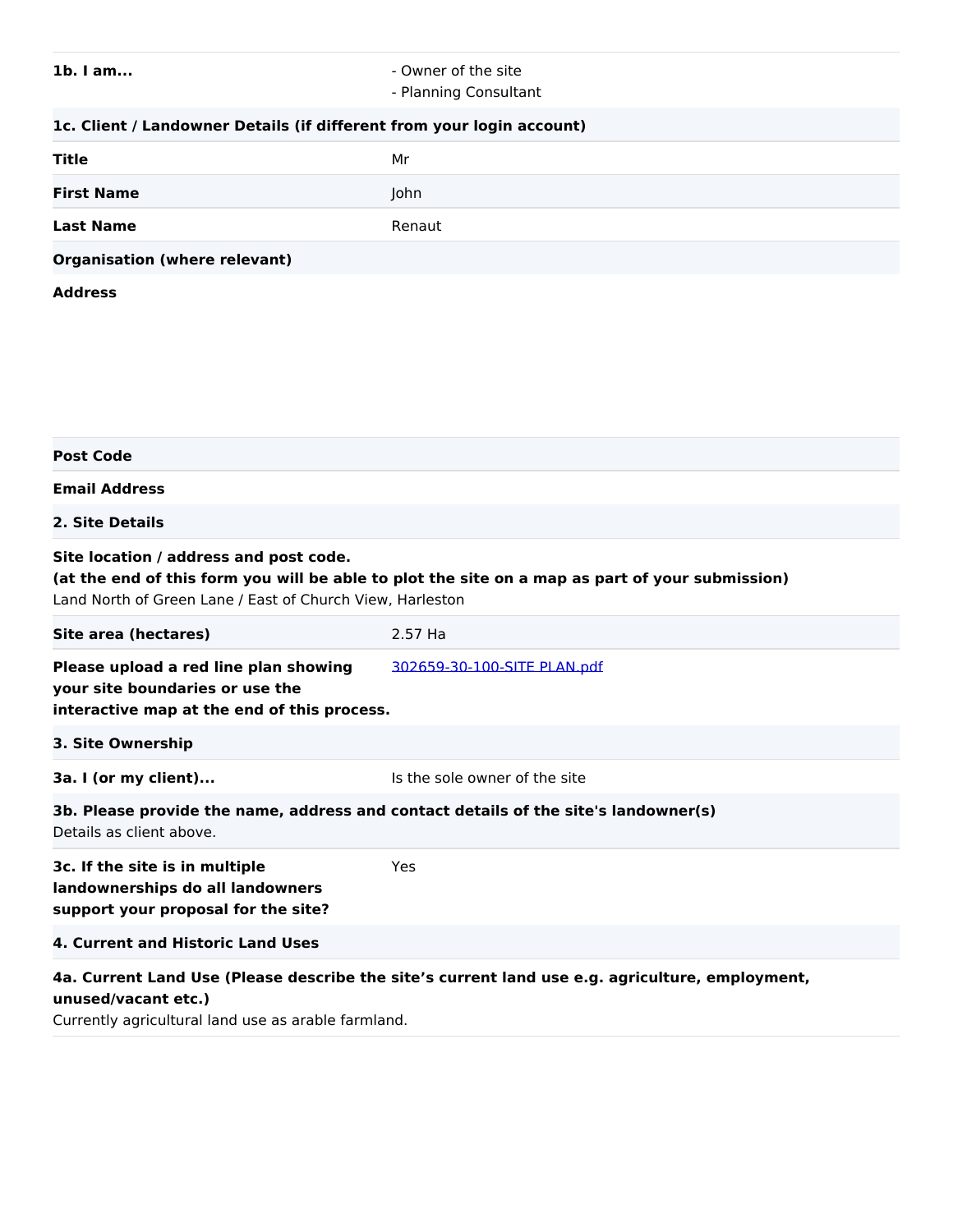# **1b. I am...** - Owner of the site

- Planning Consultant

# **1c. Client / Landowner Details (if different from your login account)**

| <b>Title</b>                         | Mr     |
|--------------------------------------|--------|
| <b>First Name</b>                    | John   |
| <b>Last Name</b>                     | Renaut |
| <b>Organisation (where relevant)</b> |        |

#### **Address**

| <b>Post Code</b>                                                                                                                                                                                       |                               |  |
|--------------------------------------------------------------------------------------------------------------------------------------------------------------------------------------------------------|-------------------------------|--|
| <b>Email Address</b>                                                                                                                                                                                   |                               |  |
| 2. Site Details                                                                                                                                                                                        |                               |  |
| Site location / address and post code.<br>(at the end of this form you will be able to plot the site on a map as part of your submission)<br>Land North of Green Lane / East of Church View, Harleston |                               |  |
| Site area (hectares)                                                                                                                                                                                   | 2.57 Ha                       |  |
| Please upload a red line plan showing<br>your site boundaries or use the<br>interactive map at the end of this process.                                                                                | 302659-30-100-SITE PLAN.pdf   |  |
| 3. Site Ownership                                                                                                                                                                                      |                               |  |
| 3a. I (or my client)                                                                                                                                                                                   | Is the sole owner of the site |  |
| 3b. Please provide the name, address and contact details of the site's landowner(s)<br>Details as client above.                                                                                        |                               |  |
| 3c. If the site is in multiple<br>landownerships do all landowners<br>support your proposal for the site?                                                                                              | Yes                           |  |
| 4. Current and Historic Land Uses                                                                                                                                                                      |                               |  |
| 4a. Current Land Use (Please describe the site's current land use e.g. agriculture, employment,<br>unused/vacant etc.)<br>Currontly agricultural land use as arable farmland                           |                               |  |

Currently agricultural land use as arable farmland.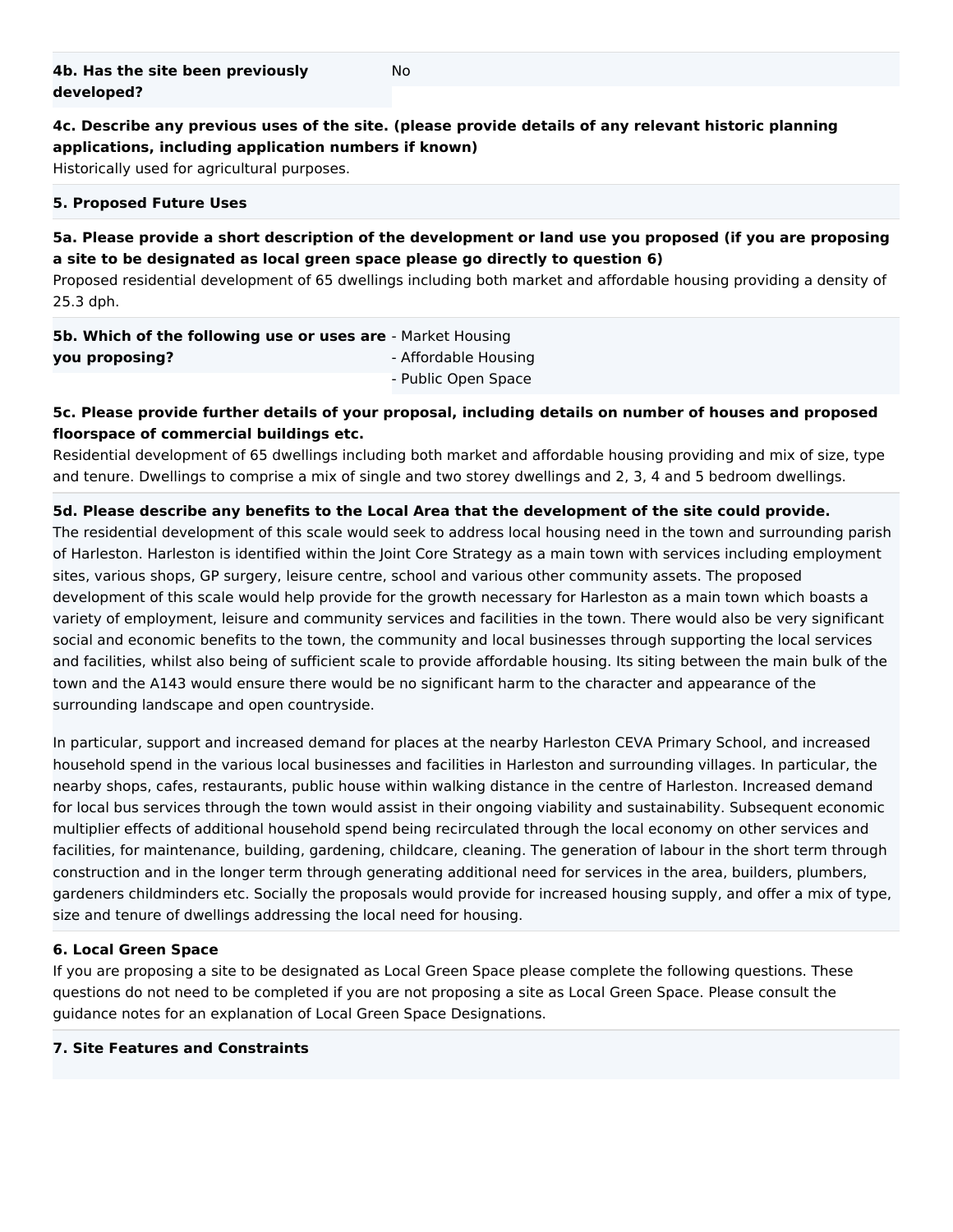**4c. Describe any previous uses of the site. (please provide details of any relevant historic planning applications, including application numbers if known)**

No

Historically used for agricultural purposes.

#### **5. Proposed Future Uses**

#### **5a. Please provide a short description of the development or land use you proposed (if you are proposing a site to be designated as local green space please go directly to question 6)**

Proposed residential development of 65 dwellings including both market and affordable housing providing a density of 25.3 dph.

| <b>5b. Which of the following use or uses are</b> - Market Housing |                      |
|--------------------------------------------------------------------|----------------------|
| you proposing?                                                     | - Affordable Housing |
|                                                                    | - Public Open Space  |

### **5c. Please provide further details of your proposal, including details on number of houses and proposed floorspace of commercial buildings etc.**

Residential development of 65 dwellings including both market and affordable housing providing and mix of size, type and tenure. Dwellings to comprise a mix of single and two storey dwellings and 2, 3, 4 and 5 bedroom dwellings.

#### **5d. Please describe any benefits to the Local Area that the development of the site could provide.**

The residential development of this scale would seek to address local housing need in the town and surrounding parish of Harleston. Harleston is identified within the Joint Core Strategy as a main town with services including employment sites, various shops, GP surgery, leisure centre, school and various other community assets. The proposed development of this scale would help provide for the growth necessary for Harleston as a main town which boasts a variety of employment, leisure and community services and facilities in the town. There would also be very significant social and economic benefits to the town, the community and local businesses through supporting the local services and facilities, whilst also being of sufficient scale to provide affordable housing. Its siting between the main bulk of the town and the A143 would ensure there would be no significant harm to the character and appearance of the surrounding landscape and open countryside.

In particular, support and increased demand for places at the nearby Harleston CEVA Primary School, and increased household spend in the various local businesses and facilities in Harleston and surrounding villages. In particular, the nearby shops, cafes, restaurants, public house within walking distance in the centre of Harleston. Increased demand for local bus services through the town would assist in their ongoing viability and sustainability. Subsequent economic multiplier effects of additional household spend being recirculated through the local economy on other services and facilities, for maintenance, building, gardening, childcare, cleaning. The generation of labour in the short term through construction and in the longer term through generating additional need for services in the area, builders, plumbers, gardeners childminders etc. Socially the proposals would provide for increased housing supply, and offer a mix of type, size and tenure of dwellings addressing the local need for housing.

#### **6. Local Green Space**

If you are proposing a site to be designated as Local Green Space please complete the following questions. These questions do not need to be completed if you are not proposing a site as Local Green Space. Please consult the guidance notes for an explanation of Local Green Space Designations.

#### **7. Site Features and Constraints**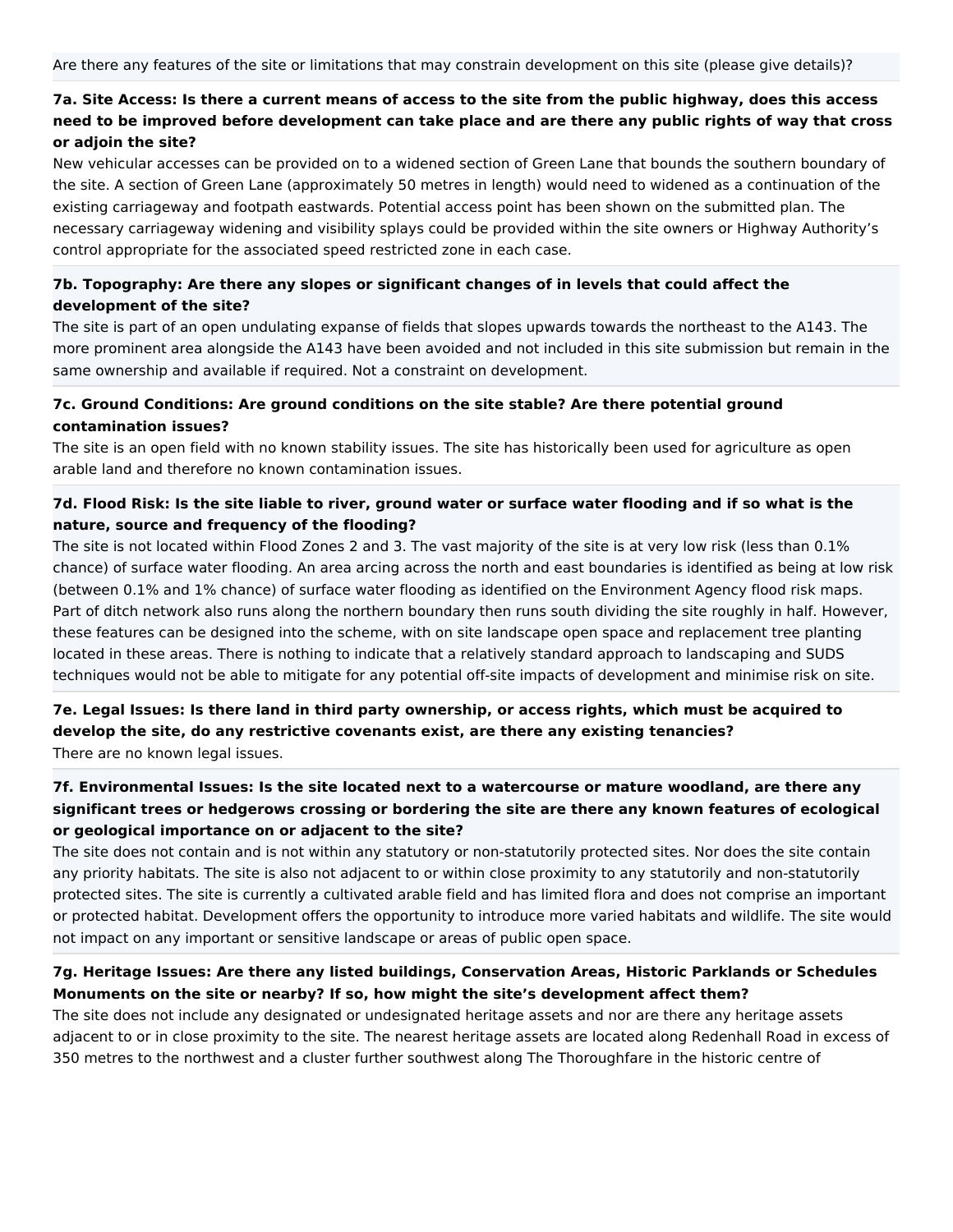## **7a. Site Access: Is there a current means of access to the site from the public highway, does this access need to be improved before development can take place and are there any public rights of way that cross or adjoin the site?**

New vehicular accesses can be provided on to a widened section of Green Lane that bounds the southern boundary of the site. A section of Green Lane (approximately 50 metres in length) would need to widened as a continuation of the existing carriageway and footpath eastwards. Potential access point has been shown on the submitted plan. The necessary carriageway widening and visibility splays could be provided within the site owners or Highway Authority's control appropriate for the associated speed restricted zone in each case.

### **7b. Topography: Are there any slopes or significant changes of in levels that could affect the development of the site?**

The site is part of an open undulating expanse of fields that slopes upwards towards the northeast to the A143. The more prominent area alongside the A143 have been avoided and not included in this site submission but remain in the same ownership and available if required. Not a constraint on development.

### **7c. Ground Conditions: Are ground conditions on the site stable? Are there potential ground contamination issues?**

The site is an open field with no known stability issues. The site has historically been used for agriculture as open arable land and therefore no known contamination issues.

### **7d. Flood Risk: Is the site liable to river, ground water or surface water flooding and if so what is the nature, source and frequency of the flooding?**

The site is not located within Flood Zones 2 and 3. The vast majority of the site is at very low risk (less than 0.1% chance) of surface water flooding. An area arcing across the north and east boundaries is identified as being at low risk (between 0.1% and 1% chance) of surface water flooding as identified on the Environment Agency flood risk maps. Part of ditch network also runs along the northern boundary then runs south dividing the site roughly in half. However, these features can be designed into the scheme, with on site landscape open space and replacement tree planting located in these areas. There is nothing to indicate that a relatively standard approach to landscaping and SUDS techniques would not be able to mitigate for any potential off-site impacts of development and minimise risk on site.

### **7e. Legal Issues: Is there land in third party ownership, or access rights, which must be acquired to develop the site, do any restrictive covenants exist, are there any existing tenancies?** There are no known legal issues.

## **7f. Environmental Issues: Is the site located next to a watercourse or mature woodland, are there any significant trees or hedgerows crossing or bordering the site are there any known features of ecological or geological importance on or adjacent to the site?**

The site does not contain and is not within any statutory or non-statutorily protected sites. Nor does the site contain any priority habitats. The site is also not adjacent to or within close proximity to any statutorily and non-statutorily protected sites. The site is currently a cultivated arable field and has limited flora and does not comprise an important or protected habitat. Development offers the opportunity to introduce more varied habitats and wildlife. The site would not impact on any important or sensitive landscape or areas of public open space.

### **7g. Heritage Issues: Are there any listed buildings, Conservation Areas, Historic Parklands or Schedules Monuments on the site or nearby? If so, how might the site's development affect them?**

The site does not include any designated or undesignated heritage assets and nor are there any heritage assets adjacent to or in close proximity to the site. The nearest heritage assets are located along Redenhall Road in excess of 350 metres to the northwest and a cluster further southwest along The Thoroughfare in the historic centre of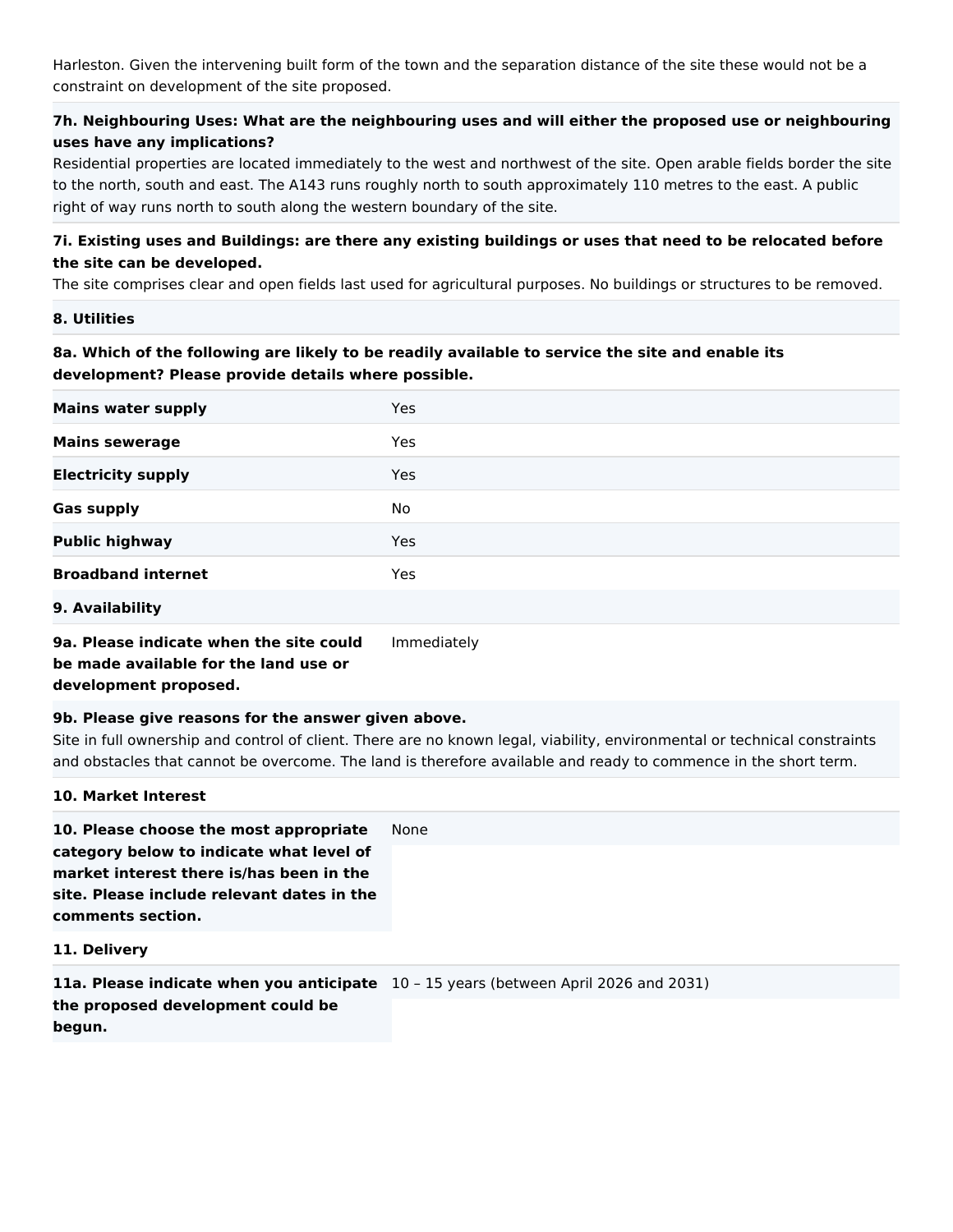Harleston. Given the intervening built form of the town and the separation distance of the site these would not be a constraint on development of the site proposed.

## **7h. Neighbouring Uses: What are the neighbouring uses and will either the proposed use or neighbouring uses have any implications?**

Residential properties are located immediately to the west and northwest of the site. Open arable fields border the site to the north, south and east. The A143 runs roughly north to south approximately 110 metres to the east. A public right of way runs north to south along the western boundary of the site.

### **7i. Existing uses and Buildings: are there any existing buildings or uses that need to be relocated before the site can be developed.**

The site comprises clear and open fields last used for agricultural purposes. No buildings or structures to be removed.

**8. Utilities**

### **8a. Which of the following are likely to be readily available to service the site and enable its development? Please provide details where possible.**

| <b>Mains water supply</b> | Yes        |  |
|---------------------------|------------|--|
| <b>Mains sewerage</b>     | <b>Yes</b> |  |
| <b>Electricity supply</b> | Yes        |  |
| <b>Gas supply</b>         | No         |  |
| <b>Public highway</b>     | <b>Yes</b> |  |
| <b>Broadband internet</b> | <b>Yes</b> |  |
| 9. Availability           |            |  |

# **9a. Please indicate when the site could be made available for the land use or development proposed.**

#### Immediately

### **9b. Please give reasons for the answer given above.**

Site in full ownership and control of client. There are no known legal, viability, environmental or technical constraints and obstacles that cannot be overcome. The land is therefore available and ready to commence in the short term.

### **10. Market Interest**

**10. Please choose the most appropriate category below to indicate what level of market interest there is/has been in the site. Please include relevant dates in the comments section.** None

#### **11. Delivery**

| <b>11a. Please indicate when you anticipate</b> 10 - 15 years (between April 2026 and 2031) |  |
|---------------------------------------------------------------------------------------------|--|
| the proposed development could be                                                           |  |
| begun.                                                                                      |  |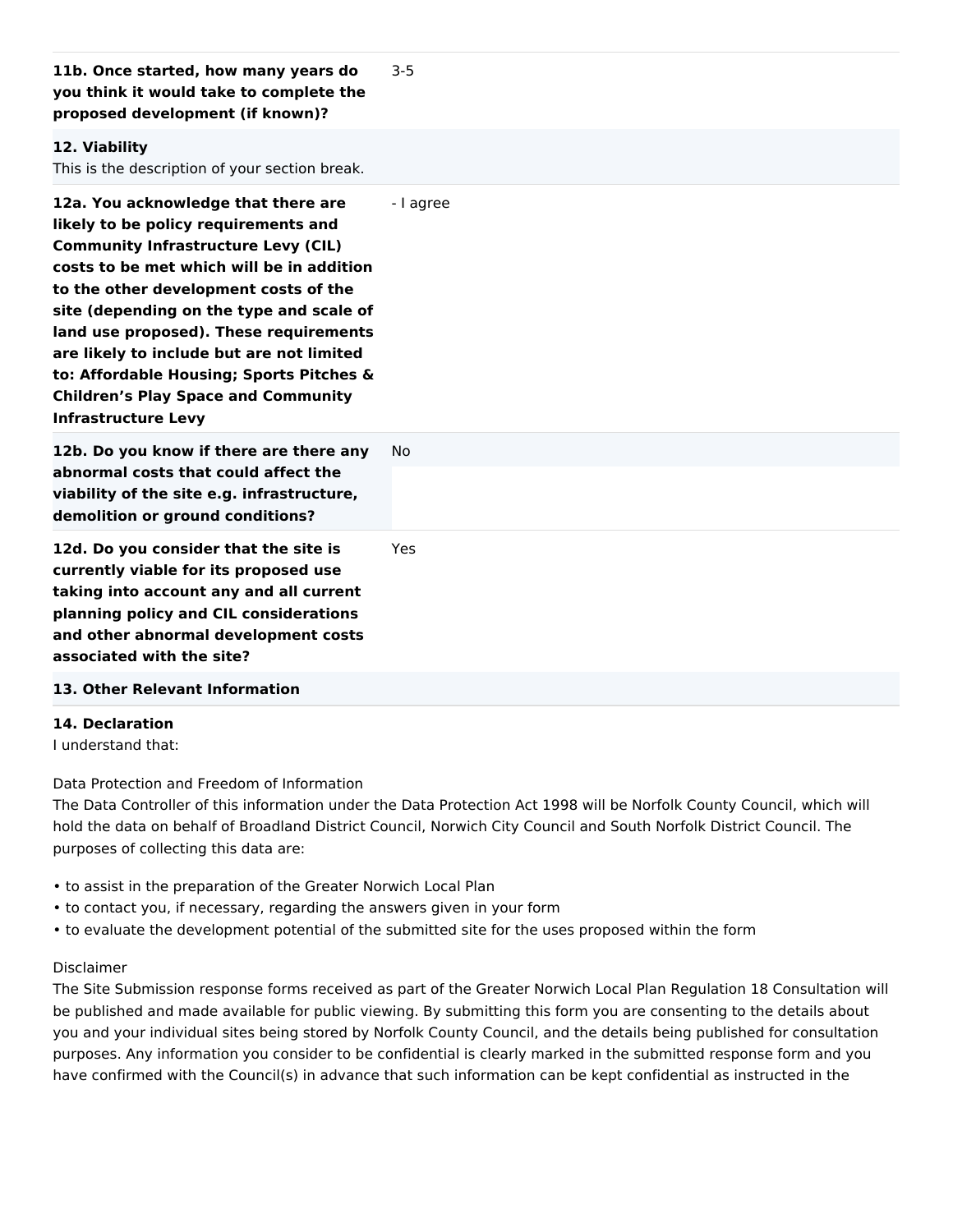| you think it would take to complete the<br>proposed development (if known)?                                                                                                                                                                                                                                                                                                                                                                                                |           |
|----------------------------------------------------------------------------------------------------------------------------------------------------------------------------------------------------------------------------------------------------------------------------------------------------------------------------------------------------------------------------------------------------------------------------------------------------------------------------|-----------|
| 12. Viability<br>This is the description of your section break.                                                                                                                                                                                                                                                                                                                                                                                                            |           |
| 12a. You acknowledge that there are<br>likely to be policy requirements and<br><b>Community Infrastructure Levy (CIL)</b><br>costs to be met which will be in addition<br>to the other development costs of the<br>site (depending on the type and scale of<br>land use proposed). These requirements<br>are likely to include but are not limited<br>to: Affordable Housing; Sports Pitches &<br><b>Children's Play Space and Community</b><br><b>Infrastructure Levy</b> | - I agree |
| 12b. Do you know if there are there any<br>abnormal costs that could affect the<br>viability of the site e.g. infrastructure,<br>demolition or ground conditions?                                                                                                                                                                                                                                                                                                          | <b>No</b> |
| 12d. Do you consider that the site is<br>currently viable for its proposed use<br>taking into account any and all current<br>planning policy and CIL considerations<br>and other abnormal development costs<br>associated with the site?<br>13. Other Relevant Information                                                                                                                                                                                                 | Yes       |

#### **14. Declaration**

I understand that:

Data Protection and Freedom of Information

The Data Controller of this information under the Data Protection Act 1998 will be Norfolk County Council, which will hold the data on behalf of Broadland District Council, Norwich City Council and South Norfolk District Council. The purposes of collecting this data are:

- to assist in the preparation of the Greater Norwich Local Plan
- to contact you, if necessary, regarding the answers given in your form
- to evaluate the development potential of the submitted site for the uses proposed within the form

#### Disclaimer

The Site Submission response forms received as part of the Greater Norwich Local Plan Regulation 18 Consultation will be published and made available for public viewing. By submitting this form you are consenting to the details about you and your individual sites being stored by Norfolk County Council, and the details being published for consultation purposes. Any information you consider to be confidential is clearly marked in the submitted response form and you have confirmed with the Council(s) in advance that such information can be kept confidential as instructed in the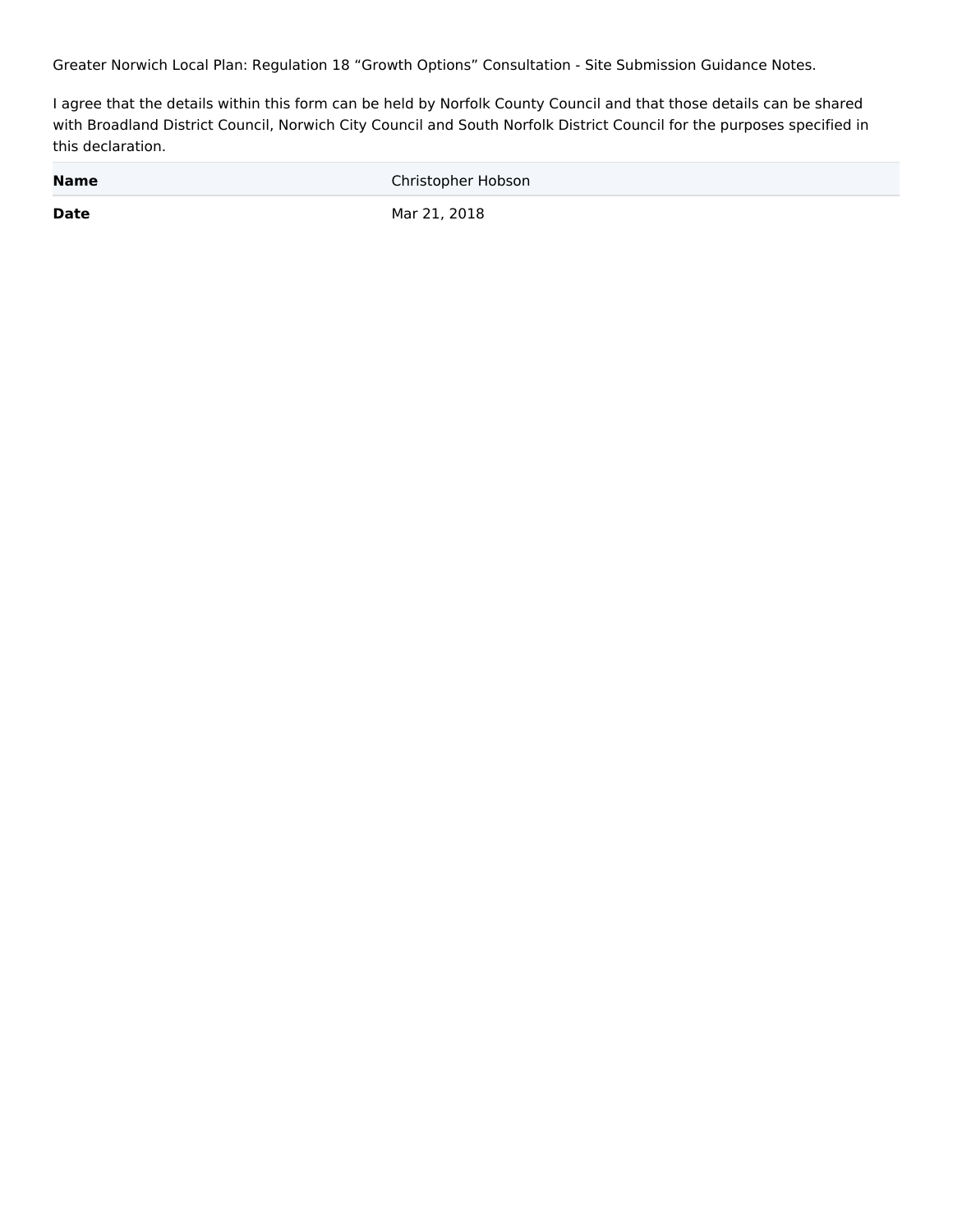Greater Norwich Local Plan: Regulation 18 "Growth Options" Consultation - Site Submission Guidance Notes.

I agree that the details within this form can be held by Norfolk County Council and that those details can be shared with Broadland District Council, Norwich City Council and South Norfolk District Council for the purposes specified in this declaration.

| <b>Name</b> | Christopher Hobson |
|-------------|--------------------|
| <b>Date</b> | Mar 21, 2018       |